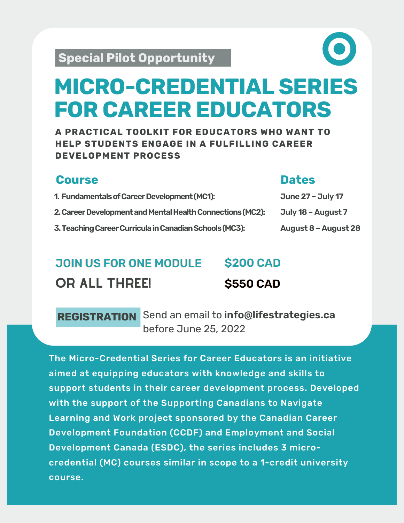# **MICRO-CREDENTIAL SERIES FOR CAREER EDUCATORS**

**A PRACTICAL TOOLKIT FOR EDUCATORS WHO WANT TO HELP STUDENTS ENGAGE IN A FULFILLING CAREER DEVELOPMENT PROCESS**

### **Course**

#### **Dates**

| 1. Fundamentals of Career Development (MC1):               | <b>June 27 - July 17</b> |
|------------------------------------------------------------|--------------------------|
| 2. Career Development and Mental Health Connections (MC2): | July 18 - August 7       |
| 3. Teaching Career Curricula in Canadian Schools (MC3):    | August 8 - August 28     |

#### JOIN US FOR ONE MODULE OR ALL THREE! **\$200 CAD \$550 CAD**

## **REGISTRATION** Send an email to **[info@lifestrategies.ca](mailto:info@lifestrategies.ca)** before June 25, 2022

The Micro-Credential Series for Career Educators is an initiative aimed at equipping educators with knowledge and skills to support students in their career development process. Developed with the support of the Supporting Canadians to Navigate Learning and Work project sponsored by the Canadian Career Development Foundation (CCDF) and Employment and Social Development Canada (ESDC), the series includes 3 microcredential (MC) courses similar in scope to a 1-credit university course.